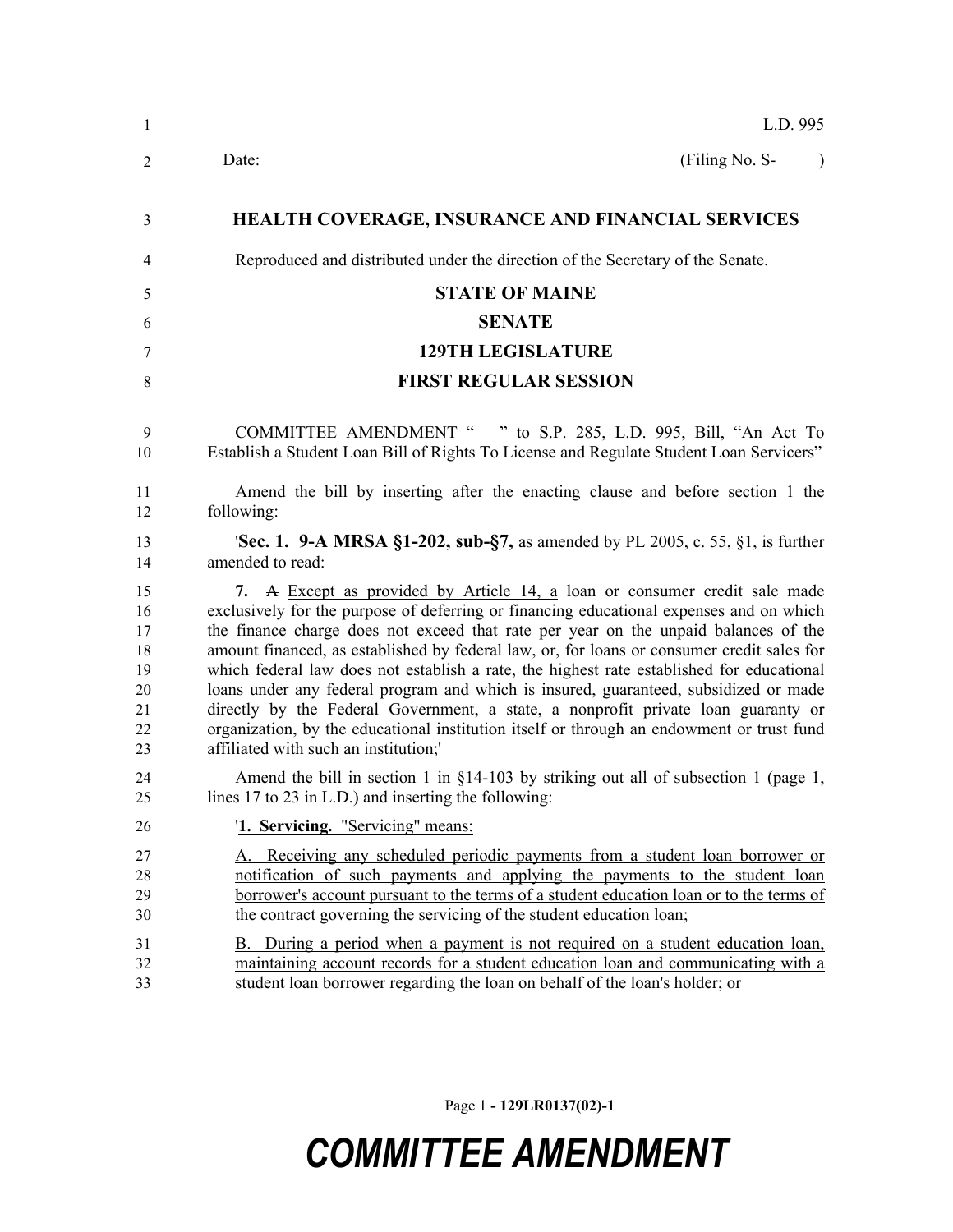| $\mathbf{1}$                                       | L.D. 995                                                                                                                                                                                                                                                                                                                                                                                                                                                                                                                                                                                                                                                                                                                                                                   |  |  |  |  |
|----------------------------------------------------|----------------------------------------------------------------------------------------------------------------------------------------------------------------------------------------------------------------------------------------------------------------------------------------------------------------------------------------------------------------------------------------------------------------------------------------------------------------------------------------------------------------------------------------------------------------------------------------------------------------------------------------------------------------------------------------------------------------------------------------------------------------------------|--|--|--|--|
| $\overline{2}$                                     | (Filing No. S-<br>Date:<br>$\lambda$                                                                                                                                                                                                                                                                                                                                                                                                                                                                                                                                                                                                                                                                                                                                       |  |  |  |  |
| 3                                                  | <b>HEALTH COVERAGE, INSURANCE AND FINANCIAL SERVICES</b>                                                                                                                                                                                                                                                                                                                                                                                                                                                                                                                                                                                                                                                                                                                   |  |  |  |  |
| 4                                                  | Reproduced and distributed under the direction of the Secretary of the Senate.                                                                                                                                                                                                                                                                                                                                                                                                                                                                                                                                                                                                                                                                                             |  |  |  |  |
| 5                                                  | <b>STATE OF MAINE</b>                                                                                                                                                                                                                                                                                                                                                                                                                                                                                                                                                                                                                                                                                                                                                      |  |  |  |  |
| 6                                                  | <b>SENATE</b>                                                                                                                                                                                                                                                                                                                                                                                                                                                                                                                                                                                                                                                                                                                                                              |  |  |  |  |
| 7                                                  | <b>129TH LEGISLATURE</b>                                                                                                                                                                                                                                                                                                                                                                                                                                                                                                                                                                                                                                                                                                                                                   |  |  |  |  |
| $\,8\,$                                            | <b>FIRST REGULAR SESSION</b>                                                                                                                                                                                                                                                                                                                                                                                                                                                                                                                                                                                                                                                                                                                                               |  |  |  |  |
| 9<br>10                                            | COMMITTEE AMENDMENT " " to S.P. 285, L.D. 995, Bill, "An Act To<br>Establish a Student Loan Bill of Rights To License and Regulate Student Loan Servicers"                                                                                                                                                                                                                                                                                                                                                                                                                                                                                                                                                                                                                 |  |  |  |  |
| 11<br>12                                           | Amend the bill by inserting after the enacting clause and before section 1 the<br>following:                                                                                                                                                                                                                                                                                                                                                                                                                                                                                                                                                                                                                                                                               |  |  |  |  |
| 13<br>14                                           | <b>Sec. 1. 9-A MRSA §1-202, sub-§7,</b> as amended by PL 2005, c. 55, §1, is further<br>amended to read:                                                                                                                                                                                                                                                                                                                                                                                                                                                                                                                                                                                                                                                                   |  |  |  |  |
| 15<br>16<br>17<br>18<br>19<br>20<br>21<br>22<br>23 | 7. A Except as provided by Article 14, a loan or consumer credit sale made<br>exclusively for the purpose of deferring or financing educational expenses and on which<br>the finance charge does not exceed that rate per year on the unpaid balances of the<br>amount financed, as established by federal law, or, for loans or consumer credit sales for<br>which federal law does not establish a rate, the highest rate established for educational<br>loans under any federal program and which is insured, guaranteed, subsidized or made<br>directly by the Federal Government, a state, a nonprofit private loan guaranty or<br>organization, by the educational institution itself or through an endowment or trust fund<br>affiliated with such an institution;' |  |  |  |  |
| 24<br>25                                           | Amend the bill in section 1 in $\S$ 14-103 by striking out all of subsection 1 (page 1,<br>lines 17 to 23 in L.D.) and inserting the following:                                                                                                                                                                                                                                                                                                                                                                                                                                                                                                                                                                                                                            |  |  |  |  |
| 26                                                 | '1. Servicing. "Servicing" means:                                                                                                                                                                                                                                                                                                                                                                                                                                                                                                                                                                                                                                                                                                                                          |  |  |  |  |
| 27<br>28<br>29<br>30                               | A. Receiving any scheduled periodic payments from a student loan borrower or<br>notification of such payments and applying the payments to the student loan<br>borrower's account pursuant to the terms of a student education loan or to the terms of<br>the contract governing the servicing of the student education loan;                                                                                                                                                                                                                                                                                                                                                                                                                                              |  |  |  |  |
| 31<br>32<br>33                                     | B. During a period when a payment is not required on a student education loan,<br>maintaining account records for a student education loan and communicating with a<br>student loan borrower regarding the loan on behalf of the loan's holder; or                                                                                                                                                                                                                                                                                                                                                                                                                                                                                                                         |  |  |  |  |

Page 1 **- 129LR0137(02)-1**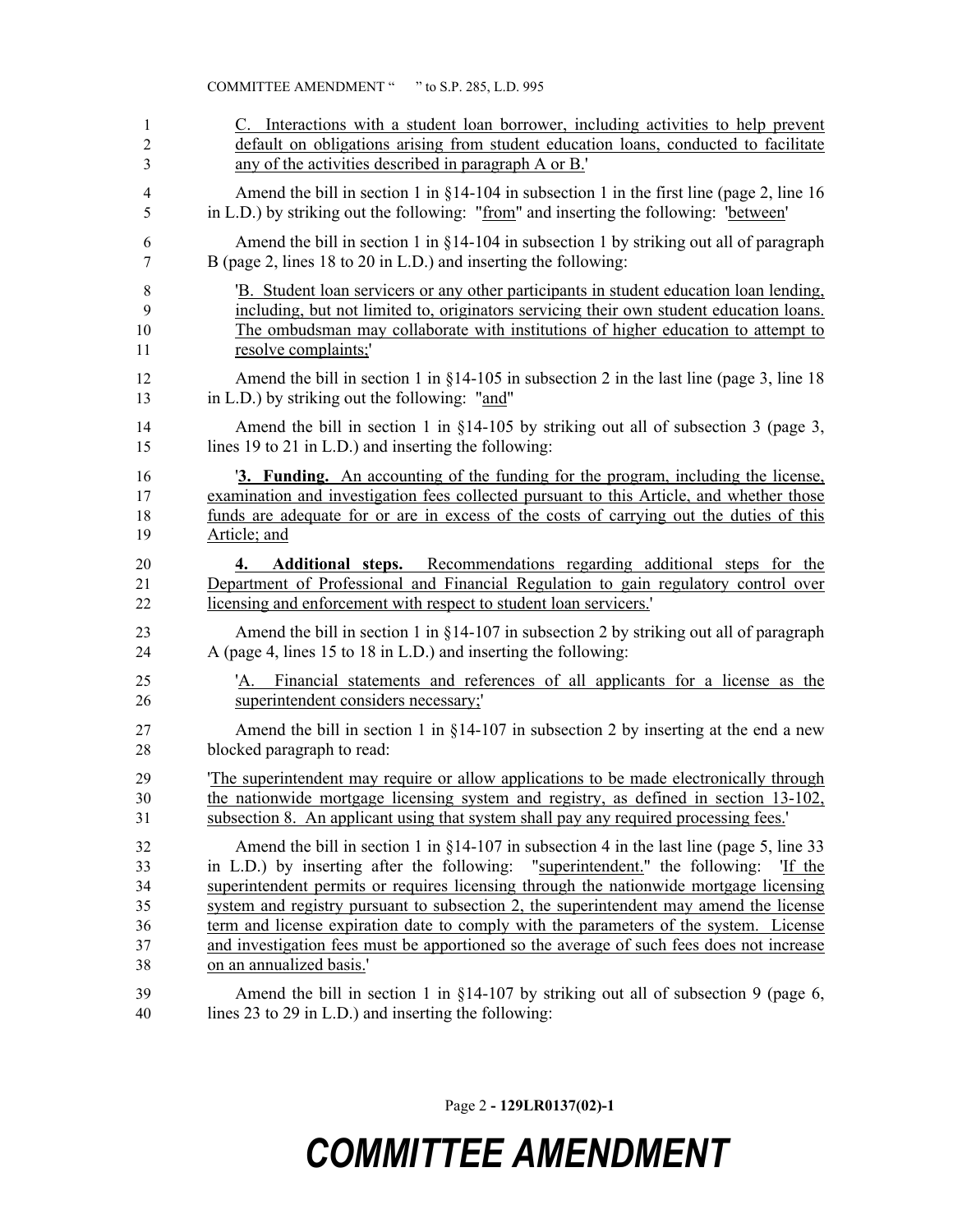| 1              | C. Interactions with a student loan borrower, including activities to help prevent                                                                                                                                                     |  |  |  |
|----------------|----------------------------------------------------------------------------------------------------------------------------------------------------------------------------------------------------------------------------------------|--|--|--|
| $\overline{2}$ | default on obligations arising from student education loans, conducted to facilitate                                                                                                                                                   |  |  |  |
| 3              | any of the activities described in paragraph A or B.'                                                                                                                                                                                  |  |  |  |
| $\overline{4}$ | Amend the bill in section 1 in $\S$ 14-104 in subsection 1 in the first line (page 2, line 16                                                                                                                                          |  |  |  |
| 5              | in L.D.) by striking out the following: "from" and inserting the following: "between"                                                                                                                                                  |  |  |  |
| 6              | Amend the bill in section 1 in $\S$ 14-104 in subsection 1 by striking out all of paragraph                                                                                                                                            |  |  |  |
| 7              | B (page 2, lines 18 to 20 in L.D.) and inserting the following:                                                                                                                                                                        |  |  |  |
| 8              | B. Student loan servicers or any other participants in student education loan lending,                                                                                                                                                 |  |  |  |
| 9              | including, but not limited to, originators servicing their own student education loans.                                                                                                                                                |  |  |  |
| 10             | The ombudsman may collaborate with institutions of higher education to attempt to                                                                                                                                                      |  |  |  |
| 11             | resolve complaints;'                                                                                                                                                                                                                   |  |  |  |
| 12             | Amend the bill in section 1 in $\S$ 14-105 in subsection 2 in the last line (page 3, line 18)                                                                                                                                          |  |  |  |
| 13             | in L.D.) by striking out the following: "and"                                                                                                                                                                                          |  |  |  |
| 14             | Amend the bill in section 1 in $\S$ 14-105 by striking out all of subsection 3 (page 3,                                                                                                                                                |  |  |  |
| 15             | lines 19 to 21 in L.D.) and inserting the following:                                                                                                                                                                                   |  |  |  |
| 16             | <b>3. Funding.</b> An accounting of the funding for the program, including the license,                                                                                                                                                |  |  |  |
| 17             | examination and investigation fees collected pursuant to this Article, and whether those                                                                                                                                               |  |  |  |
| 18             | funds are adequate for or are in excess of the costs of carrying out the duties of this                                                                                                                                                |  |  |  |
| 19             | Article; and                                                                                                                                                                                                                           |  |  |  |
| 20<br>21<br>22 | Additional steps. Recommendations regarding additional steps for the<br>4.<br>Department of Professional and Financial Regulation to gain regulatory control over<br>licensing and enforcement with respect to student loan servicers. |  |  |  |
| 23             | Amend the bill in section 1 in $\S$ 14-107 in subsection 2 by striking out all of paragraph                                                                                                                                            |  |  |  |
| 24             | A (page 4, lines 15 to 18 in L.D.) and inserting the following:                                                                                                                                                                        |  |  |  |
| 25             | 'A. Financial statements and references of all applicants for a license as the                                                                                                                                                         |  |  |  |
| 26             | superintendent considers necessary;                                                                                                                                                                                                    |  |  |  |
| 27             | Amend the bill in section 1 in $\S$ 14-107 in subsection 2 by inserting at the end a new                                                                                                                                               |  |  |  |
| 28             | blocked paragraph to read:                                                                                                                                                                                                             |  |  |  |
| 29             | The superintendent may require or allow applications to be made electronically through                                                                                                                                                 |  |  |  |
| 30             | the nationwide mortgage licensing system and registry, as defined in section 13-102,                                                                                                                                                   |  |  |  |
| 31             | subsection 8. An applicant using that system shall pay any required processing fees.'                                                                                                                                                  |  |  |  |
| 32             | Amend the bill in section 1 in $\S$ 14-107 in subsection 4 in the last line (page 5, line 33)                                                                                                                                          |  |  |  |
| 33             | in L.D.) by inserting after the following: "superintendent." the following: "If the                                                                                                                                                    |  |  |  |
| 34             | superintendent permits or requires licensing through the nationwide mortgage licensing                                                                                                                                                 |  |  |  |
| 35             | system and registry pursuant to subsection 2, the superintendent may amend the license                                                                                                                                                 |  |  |  |
| 36             | term and license expiration date to comply with the parameters of the system. License                                                                                                                                                  |  |  |  |
| 37             | and investigation fees must be apportioned so the average of such fees does not increase                                                                                                                                               |  |  |  |
| 38             | on an annualized basis.'                                                                                                                                                                                                               |  |  |  |
| 39             | Amend the bill in section 1 in $\S$ 14-107 by striking out all of subsection 9 (page 6,                                                                                                                                                |  |  |  |
| 40             | lines 23 to 29 in L.D.) and inserting the following:                                                                                                                                                                                   |  |  |  |

Page 2 **- 129LR0137(02)-1**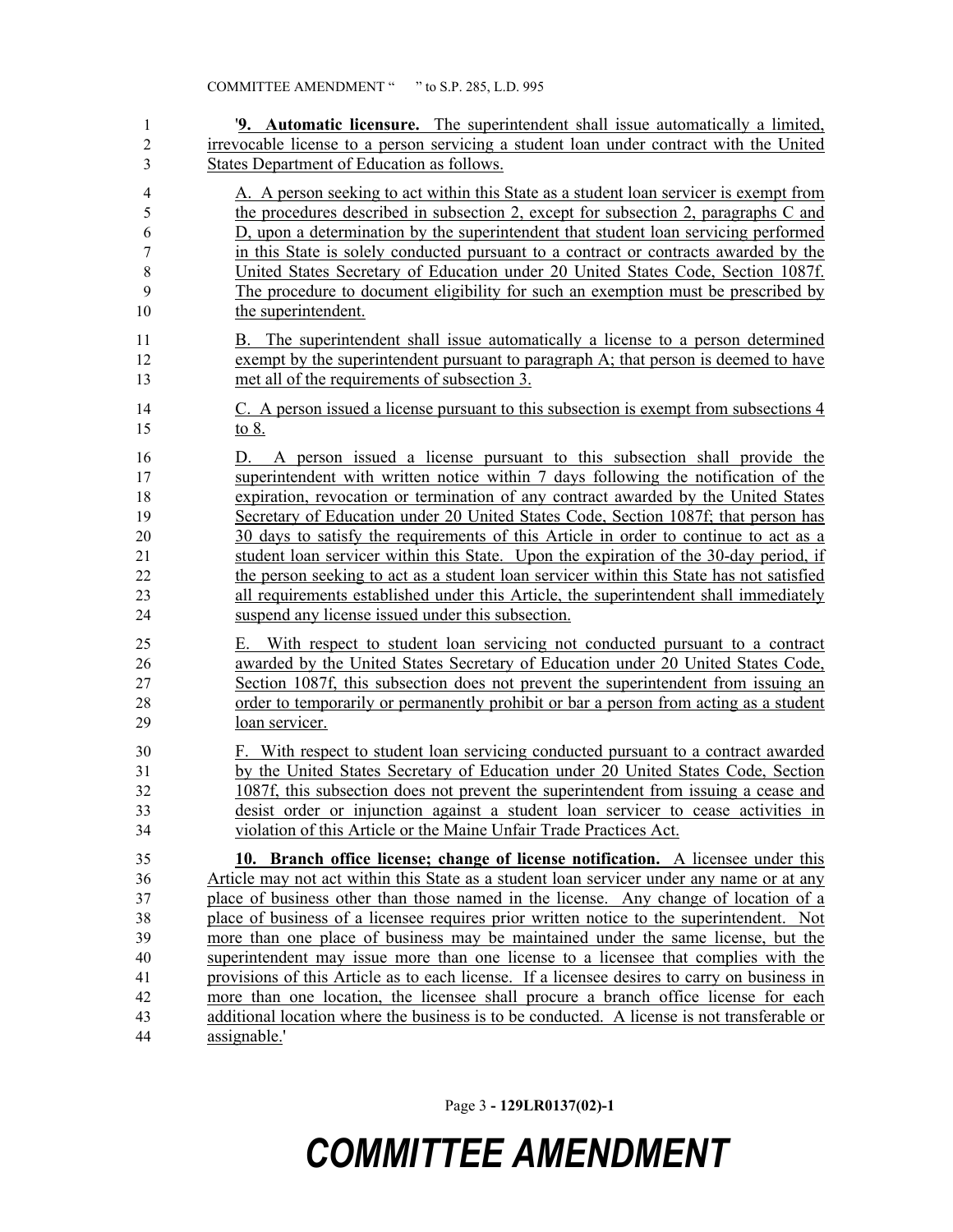| 1                                                  | '9. Automatic licensure. The superintendent shall issue automatically a limited,                                                                                                                                                                                                                                                                                                                                                                                                                                                                                                                                                                                                                                                                                           |  |  |  |  |  |
|----------------------------------------------------|----------------------------------------------------------------------------------------------------------------------------------------------------------------------------------------------------------------------------------------------------------------------------------------------------------------------------------------------------------------------------------------------------------------------------------------------------------------------------------------------------------------------------------------------------------------------------------------------------------------------------------------------------------------------------------------------------------------------------------------------------------------------------|--|--|--|--|--|
| $\boldsymbol{2}$                                   | irrevocable license to a person servicing a student loan under contract with the United                                                                                                                                                                                                                                                                                                                                                                                                                                                                                                                                                                                                                                                                                    |  |  |  |  |  |
| 3                                                  | States Department of Education as follows.                                                                                                                                                                                                                                                                                                                                                                                                                                                                                                                                                                                                                                                                                                                                 |  |  |  |  |  |
| $\overline{4}$<br>5                                | A. A person seeking to act within this State as a student loan servicer is exempt from<br>the procedures described in subsection 2, except for subsection 2, paragraphs C and<br>D, upon a determination by the superintendent that student loan servicing performed                                                                                                                                                                                                                                                                                                                                                                                                                                                                                                       |  |  |  |  |  |
| 6<br>7                                             | in this State is solely conducted pursuant to a contract or contracts awarded by the                                                                                                                                                                                                                                                                                                                                                                                                                                                                                                                                                                                                                                                                                       |  |  |  |  |  |
| 8                                                  | United States Secretary of Education under 20 United States Code, Section 1087f.                                                                                                                                                                                                                                                                                                                                                                                                                                                                                                                                                                                                                                                                                           |  |  |  |  |  |
| 9                                                  | The procedure to document eligibility for such an exemption must be prescribed by                                                                                                                                                                                                                                                                                                                                                                                                                                                                                                                                                                                                                                                                                          |  |  |  |  |  |
| 10                                                 | the superintendent.                                                                                                                                                                                                                                                                                                                                                                                                                                                                                                                                                                                                                                                                                                                                                        |  |  |  |  |  |
| 11<br>12<br>13                                     | B. The superintendent shall issue automatically a license to a person determined<br>exempt by the superintendent pursuant to paragraph $A$ ; that person is deemed to have<br>met all of the requirements of subsection 3.                                                                                                                                                                                                                                                                                                                                                                                                                                                                                                                                                 |  |  |  |  |  |
| 14<br>15                                           | C. A person issued a license pursuant to this subsection is exempt from subsections 4<br>to 8.                                                                                                                                                                                                                                                                                                                                                                                                                                                                                                                                                                                                                                                                             |  |  |  |  |  |
| 16<br>17<br>18<br>19<br>20<br>21<br>22<br>23<br>24 | A person issued a license pursuant to this subsection shall provide the<br>D.<br>superintendent with written notice within 7 days following the notification of the<br>expiration, revocation or termination of any contract awarded by the United States<br>Secretary of Education under 20 United States Code, Section 1087f; that person has<br>30 days to satisfy the requirements of this Article in order to continue to act as a<br>student loan servicer within this State. Upon the expiration of the 30-day period, if<br>the person seeking to act as a student loan servicer within this State has not satisfied<br>all requirements established under this Article, the superintendent shall immediately<br>suspend any license issued under this subsection. |  |  |  |  |  |
| 25<br>26<br>27<br>28<br>29                         | With respect to student loan servicing not conducted pursuant to a contract<br>Е.<br>awarded by the United States Secretary of Education under 20 United States Code,<br>Section 1087f, this subsection does not prevent the superintendent from issuing an<br>order to temporarily or permanently prohibit or bar a person from acting as a student<br>loan servicer.                                                                                                                                                                                                                                                                                                                                                                                                     |  |  |  |  |  |
| 30                                                 | F. With respect to student loan servicing conducted pursuant to a contract awarded                                                                                                                                                                                                                                                                                                                                                                                                                                                                                                                                                                                                                                                                                         |  |  |  |  |  |
| 31                                                 | by the United States Secretary of Education under 20 United States Code, Section                                                                                                                                                                                                                                                                                                                                                                                                                                                                                                                                                                                                                                                                                           |  |  |  |  |  |
| 32                                                 | 1087f, this subsection does not prevent the superintendent from issuing a cease and                                                                                                                                                                                                                                                                                                                                                                                                                                                                                                                                                                                                                                                                                        |  |  |  |  |  |
| 33                                                 | desist order or injunction against a student loan servicer to cease activities in                                                                                                                                                                                                                                                                                                                                                                                                                                                                                                                                                                                                                                                                                          |  |  |  |  |  |
| 34                                                 | violation of this Article or the Maine Unfair Trade Practices Act.                                                                                                                                                                                                                                                                                                                                                                                                                                                                                                                                                                                                                                                                                                         |  |  |  |  |  |
| 35                                                 | 10. Branch office license; change of license notification. A licensee under this                                                                                                                                                                                                                                                                                                                                                                                                                                                                                                                                                                                                                                                                                           |  |  |  |  |  |
| 36                                                 | Article may not act within this State as a student loan servicer under any name or at any                                                                                                                                                                                                                                                                                                                                                                                                                                                                                                                                                                                                                                                                                  |  |  |  |  |  |
| 37                                                 | place of business other than those named in the license. Any change of location of a                                                                                                                                                                                                                                                                                                                                                                                                                                                                                                                                                                                                                                                                                       |  |  |  |  |  |
| 38                                                 | place of business of a licensee requires prior written notice to the superintendent. Not                                                                                                                                                                                                                                                                                                                                                                                                                                                                                                                                                                                                                                                                                   |  |  |  |  |  |
| 39                                                 | more than one place of business may be maintained under the same license, but the                                                                                                                                                                                                                                                                                                                                                                                                                                                                                                                                                                                                                                                                                          |  |  |  |  |  |
| 40                                                 | superintendent may issue more than one license to a licensee that complies with the                                                                                                                                                                                                                                                                                                                                                                                                                                                                                                                                                                                                                                                                                        |  |  |  |  |  |
| 41                                                 | provisions of this Article as to each license. If a licensee desires to carry on business in                                                                                                                                                                                                                                                                                                                                                                                                                                                                                                                                                                                                                                                                               |  |  |  |  |  |
| 42                                                 | more than one location, the licensee shall procure a branch office license for each                                                                                                                                                                                                                                                                                                                                                                                                                                                                                                                                                                                                                                                                                        |  |  |  |  |  |
| 43                                                 | additional location where the business is to be conducted. A license is not transferable or                                                                                                                                                                                                                                                                                                                                                                                                                                                                                                                                                                                                                                                                                |  |  |  |  |  |
| 44                                                 | assignable.'                                                                                                                                                                                                                                                                                                                                                                                                                                                                                                                                                                                                                                                                                                                                                               |  |  |  |  |  |

Page 3 **- 129LR0137(02)-1**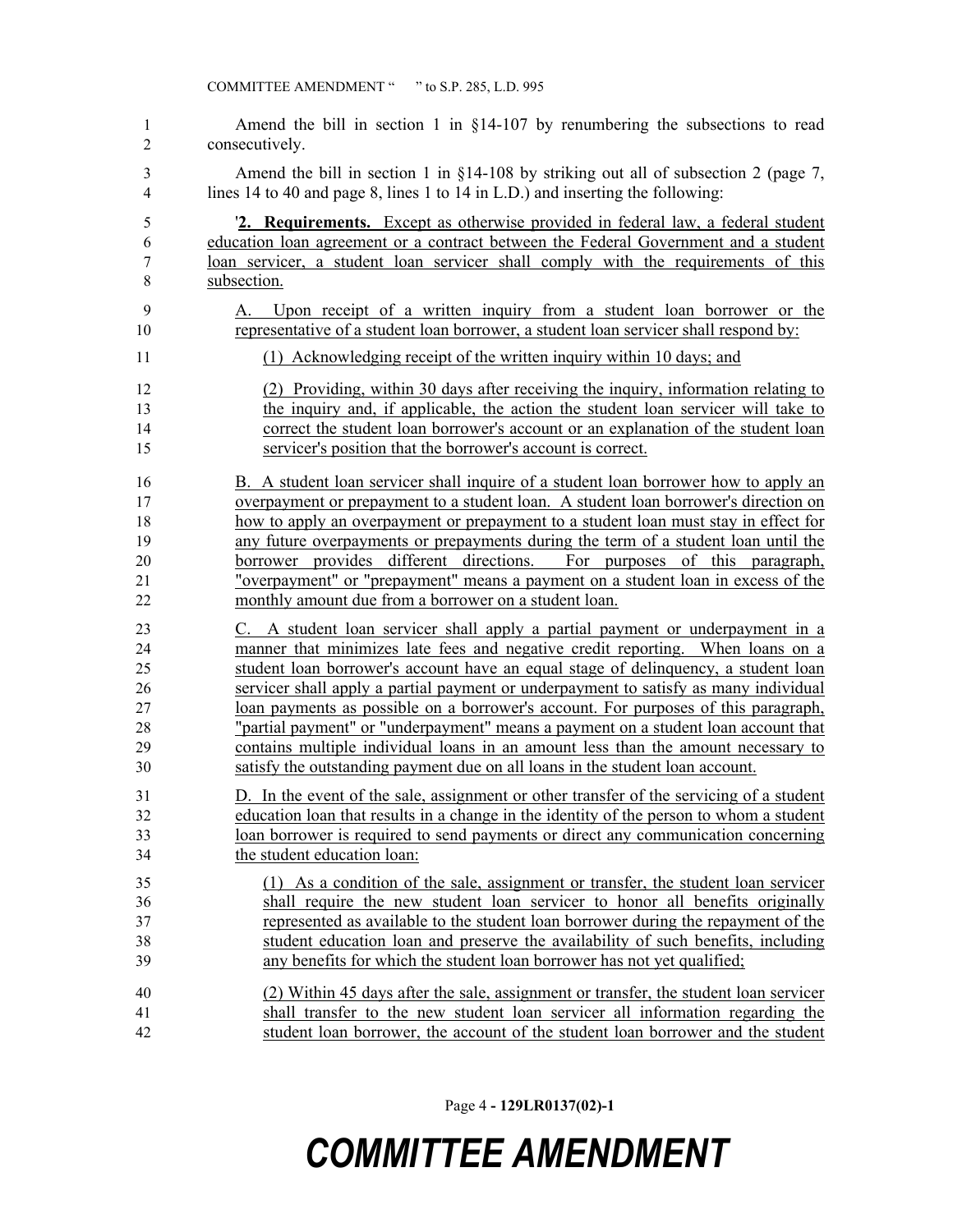Amend the bill in section 1 in §14-107 by renumbering the subsections to read consecutively. Amend the bill in section 1 in §14-108 by striking out all of subsection 2 (page 7, lines 14 to 40 and page 8, lines 1 to 14 in L.D.) and inserting the following: '**2. Requirements.** Except as otherwise provided in federal law, a federal student education loan agreement or a contract between the Federal Government and a student loan servicer, a student loan servicer shall comply with the requirements of this subsection. A. Upon receipt of a written inquiry from a student loan borrower or the representative of a student loan borrower, a student loan servicer shall respond by: (1) Acknowledging receipt of the written inquiry within 10 days; and (2) Providing, within 30 days after receiving the inquiry, information relating to the inquiry and, if applicable, the action the student loan servicer will take to correct the student loan borrower's account or an explanation of the student loan servicer's position that the borrower's account is correct. B. A student loan servicer shall inquire of a student loan borrower how to apply an overpayment or prepayment to a student loan. A student loan borrower's direction on how to apply an overpayment or prepayment to a student loan must stay in effect for any future overpayments or prepayments during the term of a student loan until the borrower provides different directions. For purposes of this paragraph, "overpayment" or "prepayment" means a payment on a student loan in excess of the monthly amount due from a borrower on a student loan. C. A student loan servicer shall apply a partial payment or underpayment in a manner that minimizes late fees and negative credit reporting. When loans on a student loan borrower's account have an equal stage of delinquency, a student loan servicer shall apply a partial payment or underpayment to satisfy as many individual loan payments as possible on a borrower's account. For purposes of this paragraph, "partial payment" or "underpayment" means a payment on a student loan account that contains multiple individual loans in an amount less than the amount necessary to satisfy the outstanding payment due on all loans in the student loan account. D. In the event of the sale, assignment or other transfer of the servicing of a student education loan that results in a change in the identity of the person to whom a student loan borrower is required to send payments or direct any communication concerning the student education loan: (1) As a condition of the sale, assignment or transfer, the student loan servicer shall require the new student loan servicer to honor all benefits originally represented as available to the student loan borrower during the repayment of the student education loan and preserve the availability of such benefits, including any benefits for which the student loan borrower has not yet qualified; (2) Within 45 days after the sale, assignment or transfer, the student loan servicer shall transfer to the new student loan servicer all information regarding the student loan borrower, the account of the student loan borrower and the student

Page 4 **- 129LR0137(02)-1**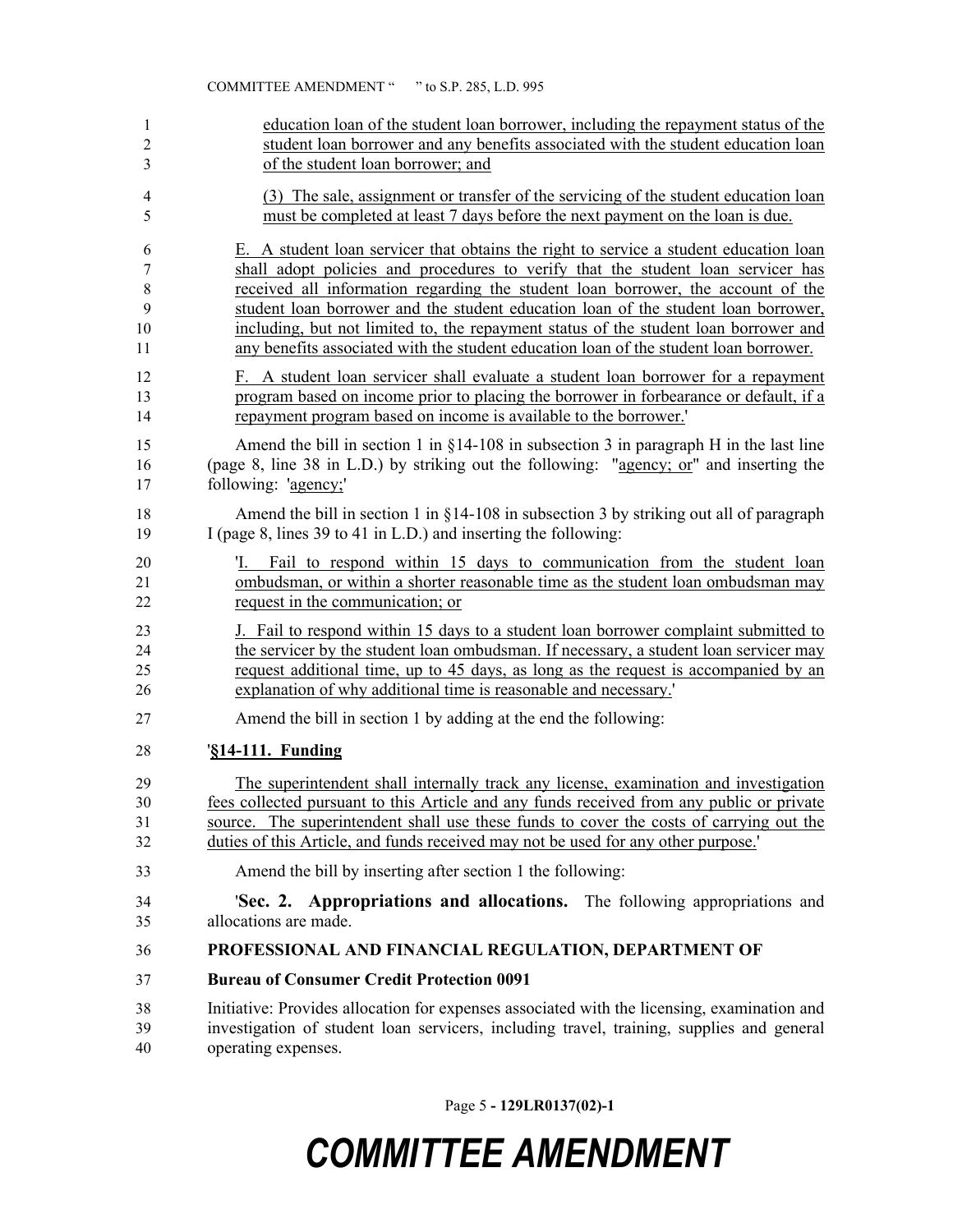| 1              | education loan of the student loan borrower, including the repayment status of the                                                                                                                   |  |  |  |  |  |
|----------------|------------------------------------------------------------------------------------------------------------------------------------------------------------------------------------------------------|--|--|--|--|--|
| $\overline{c}$ | student loan borrower and any benefits associated with the student education loan                                                                                                                    |  |  |  |  |  |
| 3              | of the student loan borrower; and                                                                                                                                                                    |  |  |  |  |  |
| 4              | (3) The sale, assignment or transfer of the servicing of the student education loan                                                                                                                  |  |  |  |  |  |
| 5              | must be completed at least 7 days before the next payment on the loan is due.                                                                                                                        |  |  |  |  |  |
| 6              | E. A student loan servicer that obtains the right to service a student education loan                                                                                                                |  |  |  |  |  |
| 7              | shall adopt policies and procedures to verify that the student loan servicer has                                                                                                                     |  |  |  |  |  |
| $\,$ $\,$      | received all information regarding the student loan borrower, the account of the                                                                                                                     |  |  |  |  |  |
| 9              | student loan borrower and the student education loan of the student loan borrower,                                                                                                                   |  |  |  |  |  |
| 10             | including, but not limited to, the repayment status of the student loan borrower and                                                                                                                 |  |  |  |  |  |
| 11             | any benefits associated with the student education loan of the student loan borrower.                                                                                                                |  |  |  |  |  |
| 12             | F. A student loan servicer shall evaluate a student loan borrower for a repayment                                                                                                                    |  |  |  |  |  |
| 13             | program based on income prior to placing the borrower in forbearance or default, if a                                                                                                                |  |  |  |  |  |
| 14             | repayment program based on income is available to the borrower.                                                                                                                                      |  |  |  |  |  |
| 15             | Amend the bill in section 1 in $§14-108$ in subsection 3 in paragraph H in the last line                                                                                                             |  |  |  |  |  |
| 16             | (page 8, line 38 in L.D.) by striking out the following: "agency; or" and inserting the                                                                                                              |  |  |  |  |  |
| 17             | following: 'agency;'                                                                                                                                                                                 |  |  |  |  |  |
| 18             | Amend the bill in section 1 in $\S$ 14-108 in subsection 3 by striking out all of paragraph                                                                                                          |  |  |  |  |  |
| 19             | I (page 8, lines 39 to 41 in L.D.) and inserting the following:                                                                                                                                      |  |  |  |  |  |
| 20<br>21<br>22 | Fail to respond within 15 days to communication from the student loan<br>'I.<br>ombudsman, or within a shorter reasonable time as the student loan ombudsman may<br>request in the communication; or |  |  |  |  |  |
| 23             | J. Fail to respond within 15 days to a student loan borrower complaint submitted to                                                                                                                  |  |  |  |  |  |
| 24             | the servicer by the student loan ombudsman. If necessary, a student loan servicer may                                                                                                                |  |  |  |  |  |
| 25             | request additional time, up to 45 days, as long as the request is accompanied by an                                                                                                                  |  |  |  |  |  |
| 26             | explanation of why additional time is reasonable and necessary.'                                                                                                                                     |  |  |  |  |  |
| 27             | Amend the bill in section 1 by adding at the end the following:                                                                                                                                      |  |  |  |  |  |
| 28             | <b>\\$14-111. Funding</b>                                                                                                                                                                            |  |  |  |  |  |
| 29             | The superintendent shall internally track any license, examination and investigation                                                                                                                 |  |  |  |  |  |
| 30             | fees collected pursuant to this Article and any funds received from any public or private                                                                                                            |  |  |  |  |  |
| 31             | source. The superintendent shall use these funds to cover the costs of carrying out the                                                                                                              |  |  |  |  |  |
| 32             | duties of this Article, and funds received may not be used for any other purpose.                                                                                                                    |  |  |  |  |  |
| 33             | Amend the bill by inserting after section 1 the following:                                                                                                                                           |  |  |  |  |  |
| 34             | 'Sec. 2. Appropriations and allocations. The following appropriations and                                                                                                                            |  |  |  |  |  |
| 35             | allocations are made.                                                                                                                                                                                |  |  |  |  |  |
| 36             | PROFESSIONAL AND FINANCIAL REGULATION, DEPARTMENT OF                                                                                                                                                 |  |  |  |  |  |
| 37             | <b>Bureau of Consumer Credit Protection 0091</b>                                                                                                                                                     |  |  |  |  |  |
| 38             | Initiative: Provides allocation for expenses associated with the licensing, examination and                                                                                                          |  |  |  |  |  |
| 39             | investigation of student loan servicers, including travel, training, supplies and general                                                                                                            |  |  |  |  |  |
| 40             | operating expenses.                                                                                                                                                                                  |  |  |  |  |  |

Page 5 **- 129LR0137(02)-1**